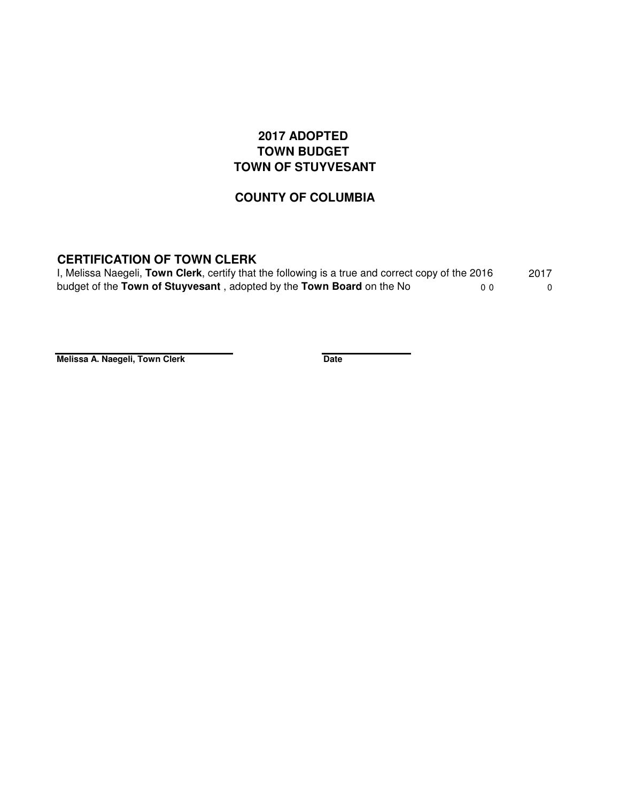## **2017 ADOPTED TOWN BUDGET TOWN OF STUYVESANT**

## **COUNTY OF COLUMBIA**

## **CERTIFICATION OF TOWN CLERK**

| I, Melissa Naegeli, Town Clerk, certify that the following is a true and correct copy of the 2016 | 2017 |
|---------------------------------------------------------------------------------------------------|------|
| budget of the Town of Stuyvesant, adopted by the Town Board on the No<br>ი ი                      |      |

**Melissa A. Naegeli, Town Clerk Date**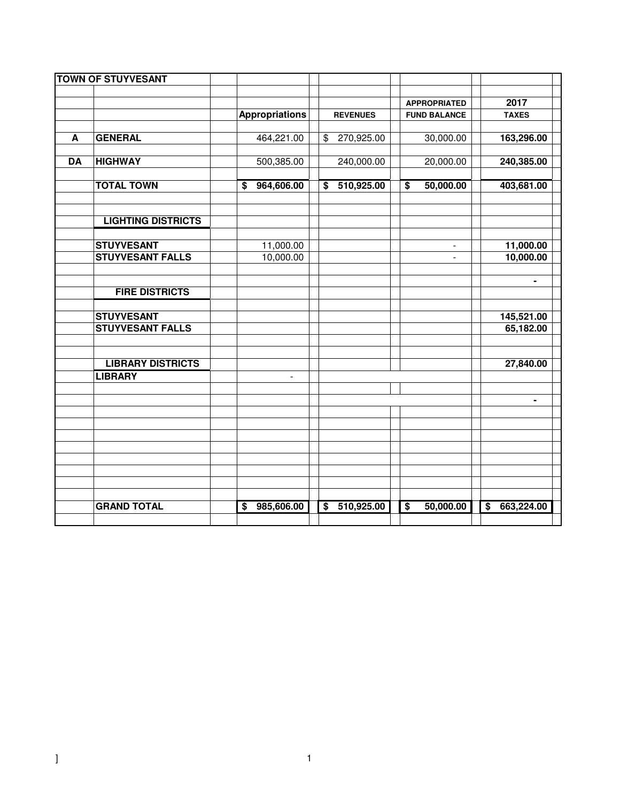|           | <b>TOWN OF STUYVESANT</b> |                               |                                                    |                                                     |                                                    |
|-----------|---------------------------|-------------------------------|----------------------------------------------------|-----------------------------------------------------|----------------------------------------------------|
|           |                           |                               |                                                    |                                                     | 2017                                               |
|           |                           | <b>Appropriations</b>         | <b>REVENUES</b>                                    | <b>APPROPRIATED</b><br><b>FUND BALANCE</b>          | <b>TAXES</b>                                       |
|           |                           |                               |                                                    |                                                     |                                                    |
| A         | <b>GENERAL</b>            | 464,221.00                    | 270,925.00<br>$\frac{1}{2}$                        | 30,000.00                                           | 163,296.00                                         |
| <b>DA</b> | <b>HIGHWAY</b>            | 500,385.00                    | 240,000.00                                         | 20,000.00                                           | 240,385.00                                         |
|           |                           |                               |                                                    |                                                     |                                                    |
|           | <b>TOTAL TOWN</b>         | 964,606.00<br>\$              | 510,925.00<br>\$                                   | 50,000.00<br>$\overline{\boldsymbol{\mathfrak{s}}}$ | 403,681.00                                         |
|           | <b>LIGHTING DISTRICTS</b> |                               |                                                    |                                                     |                                                    |
|           |                           |                               |                                                    |                                                     |                                                    |
|           | <b>STUYVESANT</b>         | 11,000.00                     |                                                    |                                                     | 11,000.00                                          |
|           | <b>STUYVESANT FALLS</b>   | 10,000.00                     |                                                    | $\mathbf{r}$                                        | 10,000.00                                          |
|           |                           |                               |                                                    |                                                     |                                                    |
|           |                           |                               |                                                    |                                                     | ۰                                                  |
|           | <b>FIRE DISTRICTS</b>     |                               |                                                    |                                                     |                                                    |
|           |                           |                               |                                                    |                                                     |                                                    |
|           | <b>STUYVESANT</b>         |                               |                                                    |                                                     | 145,521.00                                         |
|           | <b>STUYVESANT FALLS</b>   |                               |                                                    |                                                     | 65,182.00                                          |
|           |                           |                               |                                                    |                                                     |                                                    |
|           | <b>LIBRARY DISTRICTS</b>  |                               |                                                    |                                                     | 27,840.00                                          |
|           | <b>LIBRARY</b>            | $\overline{\phantom{a}}$      |                                                    |                                                     |                                                    |
|           |                           |                               |                                                    |                                                     |                                                    |
|           |                           |                               |                                                    |                                                     | ۰                                                  |
|           |                           |                               |                                                    |                                                     |                                                    |
|           |                           |                               |                                                    |                                                     |                                                    |
|           |                           |                               |                                                    |                                                     |                                                    |
|           |                           |                               |                                                    |                                                     |                                                    |
|           |                           |                               |                                                    |                                                     |                                                    |
|           |                           |                               |                                                    |                                                     |                                                    |
|           |                           |                               |                                                    |                                                     |                                                    |
|           | <b>GRAND TOTAL</b>        | 985,606.00<br>$\overline{\$}$ | $\overline{\boldsymbol{\mathsf{s}}}$<br>510,925.00 | $\overline{\boldsymbol{\mathsf{s}}}$<br>50,000.00   | $\overline{\boldsymbol{\mathsf{s}}}$<br>663,224.00 |
|           |                           |                               |                                                    |                                                     |                                                    |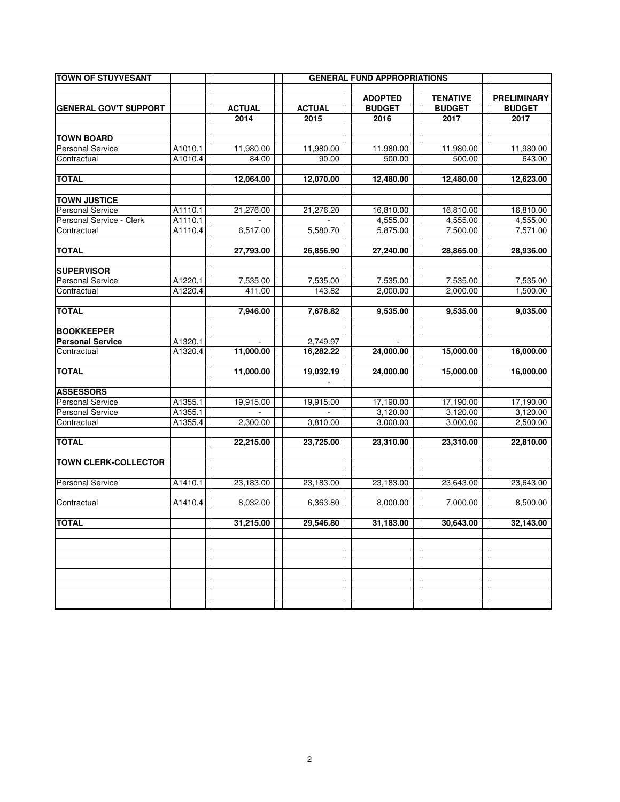| <b>TOWN OF STUYVESANT</b>    |         |               |               | <b>GENERAL FUND APPROPRIATIONS</b> |                 |                    |
|------------------------------|---------|---------------|---------------|------------------------------------|-----------------|--------------------|
|                              |         |               |               | <b>ADOPTED</b>                     | <b>TENATIVE</b> | <b>PRELIMINARY</b> |
| <b>GENERAL GOV'T SUPPORT</b> |         | <b>ACTUAL</b> | <b>ACTUAL</b> | <b>BUDGET</b>                      | <b>BUDGET</b>   | <b>BUDGET</b>      |
|                              |         | 2014          | 2015          | 2016                               | 2017            | 2017               |
|                              |         |               |               |                                    |                 |                    |
| <b>TOWN BOARD</b>            |         |               |               |                                    |                 |                    |
| <b>Personal Service</b>      | A1010.1 | 11,980.00     | 11,980.00     | 11,980.00                          | 11,980.00       | 11,980.00          |
| Contractual                  | A1010.4 | 84.00         | 90.00         | 500.00                             | 500.00          | 643.00             |
| <b>TOTAL</b>                 |         | 12,064.00     | 12,070.00     | 12,480.00                          | 12,480.00       | 12.623.00          |
| <b>TOWN JUSTICE</b>          |         |               |               |                                    |                 |                    |
| <b>Personal Service</b>      | A1110.1 | 21,276.00     | 21,276.20     | 16,810.00                          | 16,810.00       | 16,810.00          |
| Personal Service - Clerk     | A1110.1 |               |               | 4,555.00                           | 4,555.00        | 4,555.00           |
| Contractual                  | A1110.4 | 6,517.00      | 5,580.70      | 5,875.00                           | 7,500.00        | 7,571.00           |
| <b>TOTAL</b>                 |         | 27,793.00     | 26,856.90     | 27,240.00                          | 28,865.00       | 28,936.00          |
| <b>SUPERVISOR</b>            |         |               |               |                                    |                 |                    |
| Personal Service             | A1220.1 | 7,535.00      | 7,535.00      | 7,535.00                           | 7,535.00        | 7,535.00           |
| Contractual                  | A1220.4 | 411.00        | 143.82        | 2,000.00                           | 2,000.00        | 1,500.00           |
|                              |         |               |               |                                    |                 |                    |
| <b>TOTAL</b>                 |         | 7,946.00      | 7,678.82      | 9,535.00                           | 9,535.00        | 9,035.00           |
| <b>BOOKKEEPER</b>            |         |               |               |                                    |                 |                    |
| <b>Personal Service</b>      | A1320.1 |               | 2,749.97      |                                    |                 |                    |
| Contractual                  | A1320.4 | 11,000.00     | 16.282.22     | 24,000.00                          | 15,000.00       | 16,000.00          |
| <b>TOTAL</b>                 |         | 11,000.00     | 19,032.19     | 24,000.00                          | 15,000.00       | 16,000.00          |
| <b>ASSESSORS</b>             |         |               |               |                                    |                 |                    |
| <b>Personal Service</b>      | A1355.1 | 19,915.00     | 19,915.00     | 17,190.00                          | 17,190.00       | 17,190.00          |
| <b>Personal Service</b>      | A1355.1 |               |               | 3,120.00                           | 3,120.00        | 3,120.00           |
| Contractual                  | A1355.4 | 2,300.00      | 3,810.00      | 3,000.00                           | 3,000.00        | 2,500.00           |
| <b>TOTAL</b>                 |         | 22,215.00     | 23,725.00     | 23,310.00                          | 23,310.00       | 22,810.00          |
| <b>TOWN CLERK-COLLECTOR</b>  |         |               |               |                                    |                 |                    |
| <b>Personal Service</b>      | A1410.1 | 23,183.00     | 23,183.00     | 23,183.00                          | 23.643.00       | 23.643.00          |
| Contractual                  | A1410.4 | 8,032.00      | 6.363.80      | $\overline{8,000.00}$              | 7,000.00        | 8.500.00           |
| <b>TOTAL</b>                 |         |               |               |                                    |                 |                    |
|                              |         | 31,215.00     | 29,546.80     | 31,183.00                          | 30,643.00       | 32,143.00          |
|                              |         |               |               |                                    |                 |                    |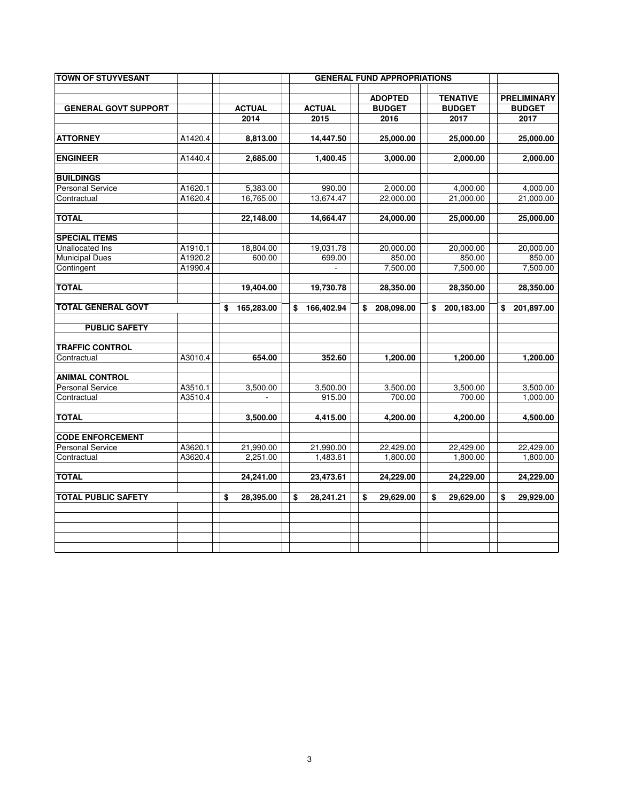| <b>TOWN OF STUYVESANT</b>   |         |                  |                  | <b>GENERAL FUND APPROPRIATIONS</b> |                                  |                                     |
|-----------------------------|---------|------------------|------------------|------------------------------------|----------------------------------|-------------------------------------|
| <b>GENERAL GOVT SUPPORT</b> |         | <b>ACTUAL</b>    | <b>ACTUAL</b>    | <b>ADOPTED</b><br><b>BUDGET</b>    | <b>TENATIVE</b><br><b>BUDGET</b> | <b>PRELIMINARY</b><br><b>BUDGET</b> |
|                             |         | 2014             | 2015             | 2016                               | 2017                             | 2017                                |
|                             |         |                  |                  |                                    |                                  |                                     |
| <b>ATTORNEY</b>             | A1420.4 | 8,813.00         | 14,447.50        | 25,000.00                          | 25,000.00                        | 25,000.00                           |
| <b>ENGINEER</b>             | A1440.4 | 2,685.00         | 1,400.45         | 3,000.00                           | 2,000.00                         | 2,000.00                            |
| <b>BUILDINGS</b>            |         |                  |                  |                                    |                                  |                                     |
| Personal Service            | A1620.1 | 5,383.00         | 990.00           | 2,000.00                           | 4,000.00                         | 4,000.00                            |
| Contractual                 | A1620.4 | 16,765.00        | 13,674.47        | 22,000.00                          | 21,000.00                        | 21,000.00                           |
| <b>TOTAL</b>                |         | 22,148.00        | 14,664.47        | 24,000.00                          | 25,000.00                        | 25,000.00                           |
| <b>SPECIAL ITEMS</b>        |         |                  |                  |                                    |                                  |                                     |
| Unallocated Ins             | A1910.1 | 18,804.00        | 19,031.78        | 20,000.00                          | 20,000.00                        | 20,000.00                           |
| <b>Municipal Dues</b>       | A1920.2 | 600.00           | 699.00           | 850.00                             | 850.00                           | 850.00                              |
| Contingent                  | A1990.4 |                  |                  | 7,500.00                           | 7,500.00                         | 7,500.00                            |
| <b>TOTAL</b>                |         | 19,404.00        | 19,730.78        | 28,350.00                          | 28,350.00                        | 28,350.00                           |
| <b>TOTAL GENERAL GOVT</b>   |         | \$<br>165,283.00 | \$<br>166,402.94 | \$<br>208,098.00                   | \$<br>200,183.00                 | \$<br>201,897.00                    |
| <b>PUBLIC SAFETY</b>        |         |                  |                  |                                    |                                  |                                     |
| <b>TRAFFIC CONTROL</b>      |         |                  |                  |                                    |                                  |                                     |
| Contractual                 | A3010.4 | 654.00           | 352.60           | 1,200.00                           | 1,200.00                         | 1,200.00                            |
| <b>ANIMAL CONTROL</b>       |         |                  |                  |                                    |                                  |                                     |
| <b>Personal Service</b>     | A3510.1 | 3,500.00         | 3,500.00         | 3,500.00                           | 3,500.00                         | 3,500.00                            |
| Contractual                 | A3510.4 |                  | 915.00           | 700.00                             | 700.00                           | 1,000.00                            |
| <b>TOTAL</b>                |         | 3,500.00         | 4,415.00         | 4,200.00                           | 4,200.00                         | 4,500.00                            |
| <b>CODE ENFORCEMENT</b>     |         |                  |                  |                                    |                                  |                                     |
| Personal Service            | A3620.1 | 21,990.00        | 21,990.00        | 22,429.00                          | 22,429.00                        | 22,429.00                           |
| Contractual                 | A3620.4 | 2,251.00         | 1,483.61         | 1,800.00                           | 1,800.00                         | 1,800.00                            |
| <b>TOTAL</b>                |         | 24,241.00        | 23,473.61        | 24,229.00                          | 24,229.00                        | 24,229.00                           |
| <b>TOTAL PUBLIC SAFETY</b>  |         | \$<br>28,395.00  | \$<br>28,241.21  | \$<br>29,629.00                    | \$<br>29,629.00                  | \$<br>29,929.00                     |
|                             |         |                  |                  |                                    |                                  |                                     |
|                             |         |                  |                  |                                    |                                  |                                     |
|                             |         |                  |                  |                                    |                                  |                                     |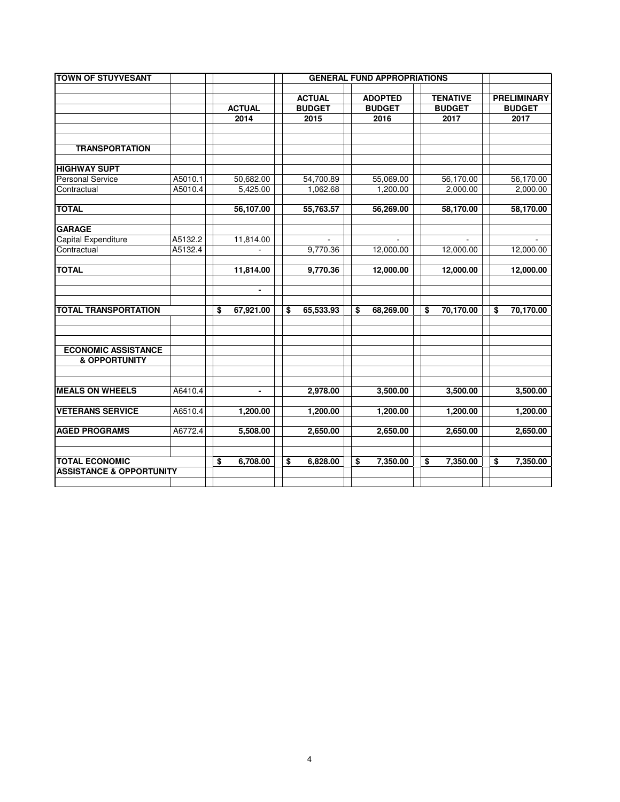| <b>TOWN OF STUYVESANT</b>           |         | <b>GENERAL FUND APPROPRIATIONS</b> |                |    |               |    |                |    |                 |    |                    |  |
|-------------------------------------|---------|------------------------------------|----------------|----|---------------|----|----------------|----|-----------------|----|--------------------|--|
|                                     |         |                                    |                |    |               |    |                |    |                 |    |                    |  |
|                                     |         |                                    |                |    | <b>ACTUAL</b> |    | <b>ADOPTED</b> |    | <b>TENATIVE</b> |    | <b>PRELIMINARY</b> |  |
|                                     |         |                                    | <b>ACTUAL</b>  |    | <b>BUDGET</b> |    | <b>BUDGET</b>  |    | <b>BUDGET</b>   |    | <b>BUDGET</b>      |  |
|                                     |         |                                    | 2014           |    | 2015          |    | 2016           |    | 2017            |    | 2017               |  |
|                                     |         |                                    |                |    |               |    |                |    |                 |    |                    |  |
| <b>TRANSPORTATION</b>               |         |                                    |                |    |               |    |                |    |                 |    |                    |  |
|                                     |         |                                    |                |    |               |    |                |    |                 |    |                    |  |
| <b>HIGHWAY SUPT</b>                 |         |                                    |                |    |               |    |                |    |                 |    |                    |  |
| <b>Personal Service</b>             | A5010.1 |                                    | 50,682.00      |    | 54,700.89     |    | 55,069.00      |    | 56,170.00       |    | 56,170.00          |  |
| Contractual                         | A5010.4 |                                    | 5,425.00       |    | 1,062.68      |    | 1,200.00       |    | 2,000.00        |    | 2,000.00           |  |
|                                     |         |                                    |                |    |               |    |                |    |                 |    |                    |  |
| <b>TOTAL</b>                        |         |                                    | 56,107.00      |    | 55,763.57     |    | 56,269.00      |    | 58,170.00       |    | 58,170.00          |  |
|                                     |         |                                    |                |    |               |    |                |    |                 |    |                    |  |
| <b>GARAGE</b>                       |         |                                    |                |    |               |    |                |    |                 |    |                    |  |
| Capital Expenditure                 | A5132.2 |                                    | 11,814.00      |    |               |    |                |    |                 |    |                    |  |
| Contractual                         | A5132.4 |                                    | $\mathbf{r}$   |    | 9,770.36      |    | 12,000.00      |    | 12,000.00       |    | 12,000.00          |  |
|                                     |         |                                    |                |    |               |    |                |    |                 |    |                    |  |
| <b>TOTAL</b>                        |         |                                    | 11,814.00      |    | 9,770.36      |    | 12,000.00      |    | 12,000.00       |    | 12,000.00          |  |
|                                     |         |                                    |                |    |               |    |                |    |                 |    |                    |  |
|                                     |         |                                    | $\blacksquare$ |    |               |    |                |    |                 |    |                    |  |
| <b>TOTAL TRANSPORTATION</b>         |         | \$                                 |                | \$ |               |    |                | \$ |                 | \$ |                    |  |
|                                     |         |                                    | 67,921.00      |    | 65,533.93     | \$ | 68,269.00      |    | 70,170.00       |    | 70,170.00          |  |
|                                     |         |                                    |                |    |               |    |                |    |                 |    |                    |  |
|                                     |         |                                    |                |    |               |    |                |    |                 |    |                    |  |
| <b>ECONOMIC ASSISTANCE</b>          |         |                                    |                |    |               |    |                |    |                 |    |                    |  |
| <b>&amp; OPPORTUNITY</b>            |         |                                    |                |    |               |    |                |    |                 |    |                    |  |
|                                     |         |                                    |                |    |               |    |                |    |                 |    |                    |  |
|                                     |         |                                    |                |    |               |    |                |    |                 |    |                    |  |
| <b>MEALS ON WHEELS</b>              | A6410.4 |                                    | $\blacksquare$ |    | 2,978.00      |    | 3,500.00       |    | 3,500.00        |    | 3,500.00           |  |
|                                     |         |                                    |                |    |               |    |                |    |                 |    |                    |  |
| <b>VETERANS SERVICE</b>             | A6510.4 |                                    | 1,200.00       |    | 1,200.00      |    | 1,200.00       |    | 1,200.00        |    | 1,200.00           |  |
|                                     |         |                                    |                |    |               |    |                |    |                 |    |                    |  |
| <b>AGED PROGRAMS</b>                | A6772.4 |                                    | 5,508.00       |    | 2,650.00      |    | 2,650.00       |    | 2,650.00        |    | 2,650.00           |  |
|                                     |         |                                    |                |    |               |    |                |    |                 |    |                    |  |
|                                     |         |                                    |                |    |               |    |                |    |                 |    |                    |  |
| <b>TOTAL ECONOMIC</b>               |         | \$                                 | 6,708.00       | \$ | 6,828.00      |    | \$<br>7,350.00 | \$ | 7,350.00        | \$ | 7,350.00           |  |
| <b>ASSISTANCE &amp; OPPORTUNITY</b> |         |                                    |                |    |               |    |                |    |                 |    |                    |  |
|                                     |         |                                    |                |    |               |    |                |    |                 |    |                    |  |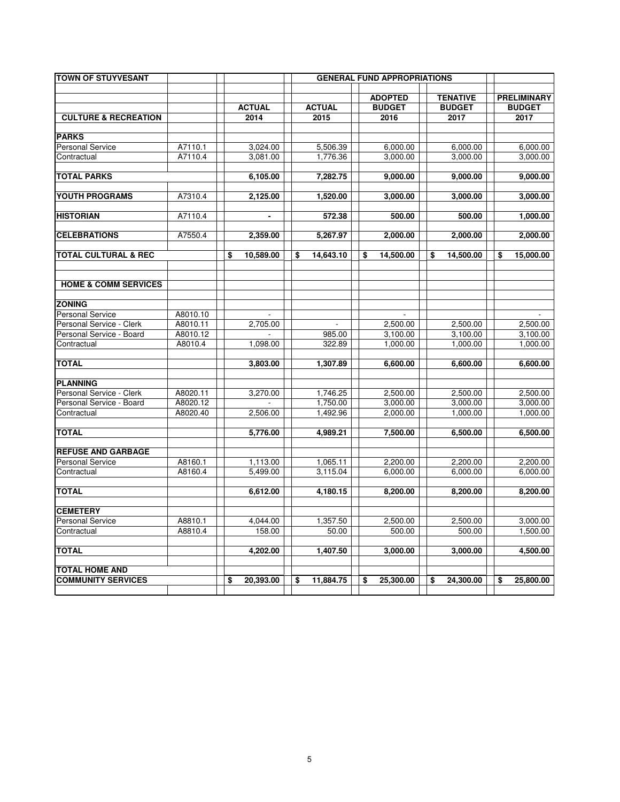| <b>TOWN OF STUYVESANT</b>       |          |    |               |                 | <b>GENERAL FUND APPROPRIATIONS</b> |                 |                    |
|---------------------------------|----------|----|---------------|-----------------|------------------------------------|-----------------|--------------------|
|                                 |          |    |               |                 | <b>ADOPTED</b>                     | <b>TENATIVE</b> | <b>PRELIMINARY</b> |
|                                 |          |    | <b>ACTUAL</b> | <b>ACTUAL</b>   | <b>BUDGET</b>                      | <b>BUDGET</b>   | <b>BUDGET</b>      |
| <b>CULTURE &amp; RECREATION</b> |          |    | 2014          | 2015            | 2016                               | 2017            | 2017               |
|                                 |          |    |               |                 |                                    |                 |                    |
| <b>PARKS</b>                    |          |    |               |                 |                                    |                 |                    |
| <b>Personal Service</b>         | A7110.1  |    | 3,024.00      | 5,506.39        | 6,000.00                           | 6,000.00        | 6,000.00           |
| Contractual                     | A7110.4  |    | 3.081.00      | 1.776.36        | 3,000.00                           | 3,000.00        | 3,000.00           |
| <b>TOTAL PARKS</b>              |          |    | 6,105.00      | 7,282.75        | 9,000.00                           | 9,000.00        | 9,000.00           |
|                                 |          |    |               |                 |                                    |                 |                    |
| YOUTH PROGRAMS                  | A7310.4  |    | 2,125.00      | 1,520.00        | 3,000.00                           | 3,000.00        | 3,000.00           |
| <b>HISTORIAN</b>                | A7110.4  |    |               | 572.38          | 500.00                             | 500.00          | 1,000.00           |
|                                 |          |    |               |                 |                                    |                 |                    |
| <b>CELEBRATIONS</b>             | A7550.4  |    | 2,359.00      | 5,267.97        | 2,000.00                           | 2,000.00        | 2,000.00           |
| <b>TOTAL CULTURAL &amp; REC</b> |          | \$ | 10,589.00     | \$<br>14,643.10 | \$<br>14,500.00                    | \$<br>14,500.00 | \$<br>15,000.00    |
|                                 |          |    |               |                 |                                    |                 |                    |
| <b>HOME &amp; COMM SERVICES</b> |          |    |               |                 |                                    |                 |                    |
|                                 |          |    |               |                 |                                    |                 |                    |
| <b>ZONING</b>                   |          |    |               |                 |                                    |                 |                    |
| <b>Personal Service</b>         | A8010.10 |    |               |                 |                                    |                 |                    |
| Personal Service - Clerk        | A8010.11 |    | 2,705.00      |                 | 2,500.00                           | 2,500.00        | 2,500.00           |
| Personal Service - Board        | A8010.12 |    |               | 985.00          | 3,100.00                           | 3,100.00        | 3,100.00           |
| Contractual                     | A8010.4  |    | 1,098.00      | 322.89          | 1,000.00                           | 1,000.00        | 1,000.00           |
| <b>TOTAL</b>                    |          |    | 3,803.00      | 1,307.89        | 6,600.00                           | 6,600.00        | 6,600.00           |
|                                 |          |    |               |                 |                                    |                 |                    |
| <b>PLANNING</b>                 |          |    |               |                 |                                    |                 |                    |
| Personal Service - Clerk        | A8020.11 |    | 3,270.00      | 1,746.25        | 2,500.00                           | 2,500.00        | 2,500.00           |
| Personal Service - Board        | A8020.12 |    |               | 1,750.00        | 3,000.00                           | 3,000.00        | 3,000.00           |
| Contractual                     | A8020.40 |    | 2,506.00      | 1,492.96        | 2,000.00                           | 1,000.00        | 1,000.00           |
| <b>TOTAL</b>                    |          |    | 5,776.00      | 4,989.21        | 7,500.00                           | 6,500.00        | 6,500.00           |
|                                 |          |    |               |                 |                                    |                 |                    |
| <b>REFUSE AND GARBAGE</b>       |          |    |               |                 |                                    |                 |                    |
| <b>Personal Service</b>         | A8160.1  |    | 1,113.00      | 1,065.11        | 2,200.00                           | 2,200.00        | 2,200.00           |
| Contractual                     | A8160.4  |    | 5,499.00      | 3,115.04        | 6,000.00                           | 6,000.00        | 6,000.00           |
| <b>TOTAL</b>                    |          |    | 6,612.00      | 4,180.15        | 8,200.00                           | 8,200.00        | 8,200.00           |
| <b>CEMETERY</b>                 |          |    |               |                 |                                    |                 |                    |
| <b>Personal Service</b>         | A8810.1  |    | 4,044.00      | 1,357.50        | 2,500.00                           | 2,500.00        | 3,000.00           |
| Contractual                     | A8810.4  |    | 158.00        | 50.00           | 500.00                             | 500.00          | 1,500.00           |
|                                 |          |    |               |                 |                                    |                 |                    |
| <b>TOTAL</b>                    |          |    | 4,202.00      | 1,407.50        | 3,000.00                           | 3,000.00        | 4,500.00           |
| <b>TOTAL HOME AND</b>           |          |    |               |                 |                                    |                 |                    |
| <b>COMMUNITY SERVICES</b>       |          | \$ | 20,393.00     | \$<br>11,884.75 | \$<br>25,300.00                    | \$<br>24,300.00 | \$<br>25,800.00    |
|                                 |          |    |               |                 |                                    |                 |                    |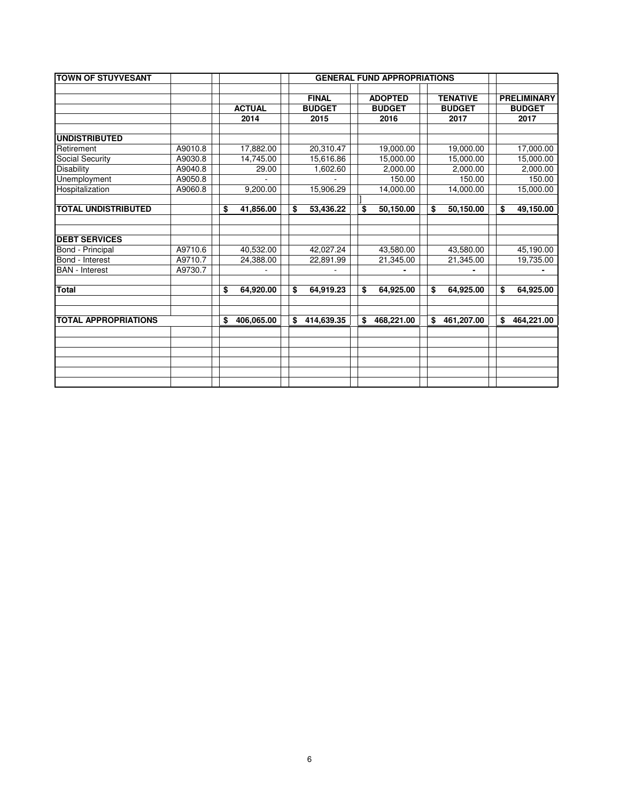| <b>TOWN OF STUYVESANT</b>   |         |                  |    |               |                  |                  |                    |
|-----------------------------|---------|------------------|----|---------------|------------------|------------------|--------------------|
|                             |         |                  |    |               |                  |                  |                    |
|                             |         |                  |    | <b>FINAL</b>  | <b>ADOPTED</b>   | <b>TENATIVE</b>  | <b>PRELIMINARY</b> |
|                             |         | <b>ACTUAL</b>    |    | <b>BUDGET</b> | <b>BUDGET</b>    | <b>BUDGET</b>    | <b>BUDGET</b>      |
|                             |         | 2014             |    | 2015          | 2016             | 2017             | 2017               |
|                             |         |                  |    |               |                  |                  |                    |
| <b>UNDISTRIBUTED</b>        |         |                  |    |               |                  |                  |                    |
| Retirement                  | A9010.8 | 17,882.00        |    | 20,310.47     | 19,000.00        | 19,000.00        | 17,000.00          |
| Social Security             | A9030.8 | 14,745.00        |    | 15,616.86     | 15,000.00        | 15,000.00        | 15,000.00          |
| <b>Disability</b>           | A9040.8 | 29.00            |    | 1,602.60      | 2,000.00         | 2,000.00         | 2,000.00           |
| Unemployment                | A9050.8 |                  |    |               | 150.00           | 150.00           | 150.00             |
| Hospitalization             | A9060.8 | 9,200.00         |    | 15,906.29     | 14,000.00        | 14,000.00        | 15,000.00          |
|                             |         |                  |    |               |                  |                  |                    |
| <b>TOTAL UNDISTRIBUTED</b>  |         | \$<br>41,856.00  | \$ | 53,436.22     | \$<br>50,150.00  | \$<br>50,150.00  | \$<br>49,150.00    |
|                             |         |                  |    |               |                  |                  |                    |
|                             |         |                  |    |               |                  |                  |                    |
| <b>DEBT SERVICES</b>        |         |                  |    |               |                  |                  |                    |
| Bond - Principal            | A9710.6 | 40,532.00        |    | 42,027.24     | 43,580.00        | 43,580.00        | 45,190.00          |
| Bond - Interest             | A9710.7 | 24,388.00        |    | 22,891.99     | 21,345.00        | 21,345.00        | 19,735.00          |
| <b>BAN</b> - Interest       | A9730.7 |                  |    |               |                  |                  |                    |
|                             |         |                  |    |               |                  |                  |                    |
| <b>Total</b>                |         | \$<br>64,920.00  | \$ | 64,919.23     | \$<br>64,925.00  | \$<br>64,925.00  | \$<br>64,925.00    |
|                             |         |                  |    |               |                  |                  |                    |
| <b>TOTAL APPROPRIATIONS</b> |         | \$<br>406,065.00 | \$ | 414,639.35    | \$<br>468,221.00 | \$<br>461,207.00 | \$<br>464,221.00   |
|                             |         |                  |    |               |                  |                  |                    |
|                             |         |                  |    |               |                  |                  |                    |
|                             |         |                  |    |               |                  |                  |                    |
|                             |         |                  |    |               |                  |                  |                    |
|                             |         |                  |    |               |                  |                  |                    |
|                             |         |                  |    |               |                  |                  |                    |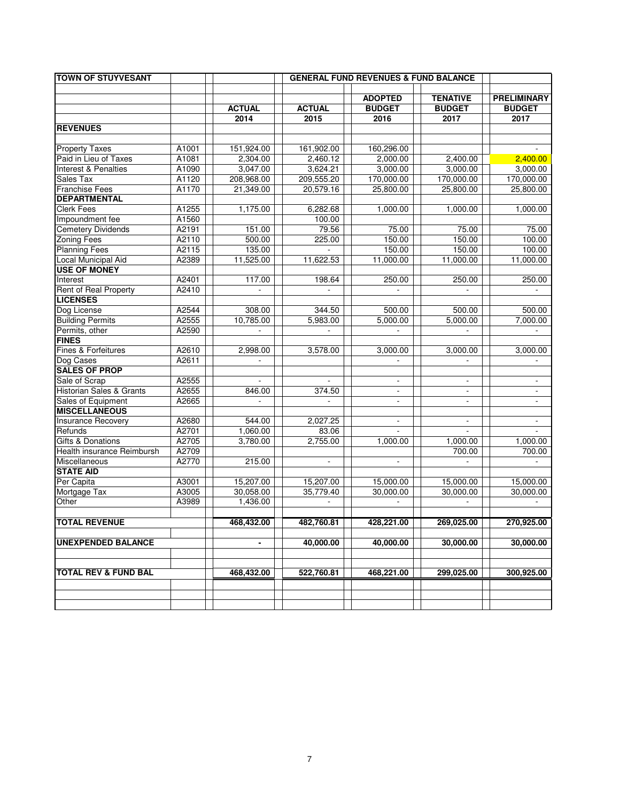| <b>TOWN OF STUYVESANT</b>           |       |               |                |                                 |                                  |                                     |
|-------------------------------------|-------|---------------|----------------|---------------------------------|----------------------------------|-------------------------------------|
|                                     |       |               |                |                                 |                                  |                                     |
|                                     |       | <b>ACTUAL</b> | <b>ACTUAL</b>  | <b>ADOPTED</b><br><b>BUDGET</b> | <b>TENATIVE</b><br><b>BUDGET</b> | <b>PRELIMINARY</b><br><b>BUDGET</b> |
|                                     |       | 2014          | 2015           | 2016                            | 2017                             | 2017                                |
| <b>REVENUES</b>                     |       |               |                |                                 |                                  |                                     |
|                                     |       |               |                |                                 |                                  |                                     |
| <b>Property Taxes</b>               | A1001 | 151,924.00    | 161,902.00     | 160,296.00                      |                                  |                                     |
| Paid in Lieu of Taxes               | A1081 | 2,304.00      | 2,460.12       | 2,000.00                        | 2,400.00                         | 2,400.00                            |
| Interest & Penalties                | A1090 | 3,047.00      | 3,624.21       | 3,000.00                        | 3,000.00                         | 3,000.00                            |
| Sales Tax                           | A1120 | 208,968.00    | 209,555.20     | 170,000.00                      | 170,000.00                       | 170,000.00                          |
| <b>Franchise Fees</b>               | A1170 | 21,349.00     | 20,579.16      | 25,800.00                       | 25,800.00                        | 25,800.00                           |
| <b>DEPARTMENTAL</b>                 |       |               |                |                                 |                                  |                                     |
| <b>Clerk Fees</b>                   | A1255 | 1,175.00      | 6,282.68       | 1,000.00                        | 1,000.00                         | 1,000.00                            |
| Impoundment fee                     | A1560 |               | 100.00         |                                 |                                  |                                     |
| Cemetery Dividends                  | A2191 | 151.00        | 79.56          | 75.00                           | 75.00                            | 75.00                               |
| <b>Zoning Fees</b>                  | A2110 | 500.00        | 225.00         | 150.00                          | 150.00                           | 100.00                              |
| <b>Planning Fees</b>                | A2115 | 135.00        |                | 150.00                          | 150.00                           | 100.00                              |
| Local Municipal Aid                 | A2389 | 11,525.00     | 11,622.53      | 11,000.00                       | 11,000.00                        | 11,000.00                           |
| <b>USE OF MONEY</b>                 |       |               |                |                                 |                                  |                                     |
| Interest                            | A2401 | 117.00        | 198.64         | 250.00                          | 250.00                           | 250.00                              |
| Rent of Real Property               | A2410 |               | $\blacksquare$ |                                 |                                  |                                     |
| <b>LICENSES</b>                     |       |               |                |                                 |                                  |                                     |
| Dog License                         | A2544 | 308.00        | 344.50         | 500.00                          | 500.00                           | 500.00                              |
| <b>Building Permits</b>             | A2555 | 10,785.00     | 5,983.00       | 5,000.00                        | 5,000.00                         | 7,000.00                            |
| Permits, other                      | A2590 | $\mathbf{r}$  | $\mathcal{L}$  |                                 | $\overline{\phantom{a}}$         | $\sim$                              |
| <b>FINES</b>                        |       |               |                |                                 |                                  |                                     |
| Fines & Forfeitures                 | A2610 | 2,998.00      | 3,578.00       | 3,000.00                        | 3,000.00                         | 3,000.00                            |
| Dog Cases                           | A2611 |               |                |                                 | $\overline{\phantom{a}}$         | $\overline{\phantom{a}}$            |
| <b>SALES OF PROP</b>                |       |               |                |                                 |                                  |                                     |
| Sale of Scrap                       | A2555 |               |                |                                 |                                  |                                     |
| <b>Historian Sales &amp; Grants</b> | A2655 | 846.00        | 374.50         | $\blacksquare$                  | $\blacksquare$                   | $\overline{\phantom{a}}$            |
| Sales of Equipment                  | A2665 | ÷.            | $\blacksquare$ | $\overline{\phantom{a}}$        | $\overline{\phantom{a}}$         | $\overline{\phantom{a}}$            |
| <b>MISCELLANEOUS</b>                |       |               |                |                                 |                                  |                                     |
| <b>Insurance Recovery</b>           | A2680 | 544.00        | 2,027.25       | $\overline{\phantom{a}}$        | $\blacksquare$                   | $\blacksquare$                      |
| Refunds                             | A2701 | 1,060.00      | 83.06          |                                 | ÷.                               | $\sim$                              |
| <b>Gifts &amp; Donations</b>        | A2705 | 3,780.00      | 2,755.00       | 1,000.00                        | 1,000.00                         | 1,000.00                            |
| Health insurance Reimbursh          | A2709 |               |                |                                 | 700.00                           | 700.00                              |
| Miscellaneous                       | A2770 | 215.00        | $\blacksquare$ | $\blacksquare$                  | $\overline{\phantom{a}}$         | $\overline{\phantom{0}}$            |
| <b>STATE AID</b>                    |       |               |                |                                 |                                  |                                     |
| Per Capita                          | A3001 | 15,207.00     | 15,207.00      | 15,000.00                       | 15,000.00                        | 15,000.00                           |
| Mortgage Tax                        | A3005 | 30,058.00     | 35,779.40      | 30,000.00                       | 30,000.00                        | 30,000.00                           |
| Other                               | A3989 | 1,436.00      |                |                                 |                                  |                                     |
|                                     |       |               |                |                                 |                                  |                                     |
| <b>TOTAL REVENUE</b>                |       | 468,432.00    | 482,760.81     | 428,221.00                      | 269,025.00                       | 270.925.00                          |
| <b>UNEXPENDED BALANCE</b>           |       |               |                |                                 |                                  |                                     |
|                                     |       | -             | 40,000.00      | 40,000.00                       | 30,000.00                        | 30,000.00                           |
|                                     |       |               |                |                                 |                                  |                                     |
| <b>TOTAL REV &amp; FUND BAL</b>     |       | 468,432.00    | 522,760.81     | 468,221.00                      | 299,025.00                       | 300,925.00                          |
|                                     |       |               |                |                                 |                                  |                                     |
|                                     |       |               |                |                                 |                                  |                                     |
|                                     |       |               |                |                                 |                                  |                                     |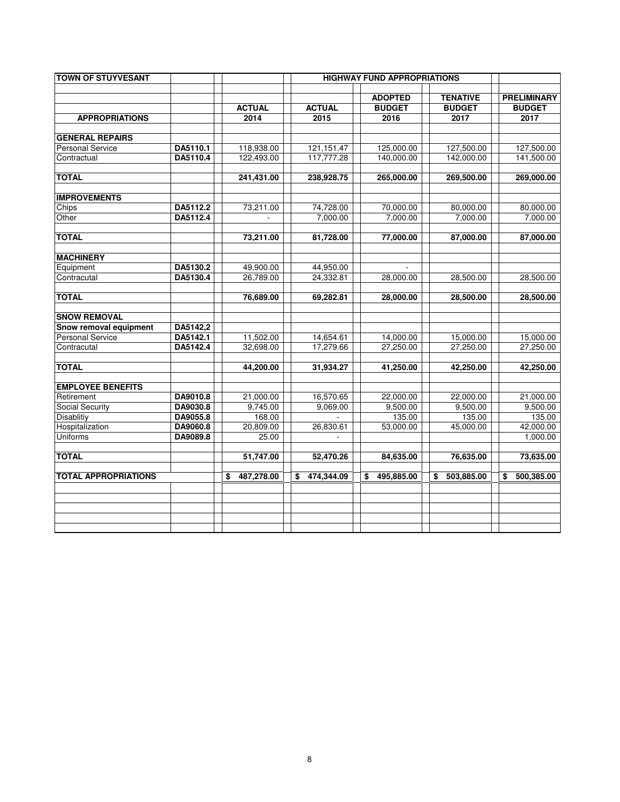| <b>TOWN OF STUYVESANT</b>   |          |                  |                  | <b>HIGHWAY FUND APPROPRIATIONS</b> |                                  |                                     |
|-----------------------------|----------|------------------|------------------|------------------------------------|----------------------------------|-------------------------------------|
|                             |          | <b>ACTUAL</b>    | <b>ACTUAL</b>    | <b>ADOPTED</b><br><b>BUDGET</b>    | <b>TENATIVE</b><br><b>BUDGET</b> | <b>PRELIMINARY</b><br><b>BUDGET</b> |
| <b>APPROPRIATIONS</b>       |          | 2014             | 2015             | 2016                               | 2017                             | 2017                                |
| <b>GENERAL REPAIRS</b>      |          |                  |                  |                                    |                                  |                                     |
| <b>Personal Service</b>     | DA5110.1 | 118,938.00       | 121, 151. 47     | 125,000.00                         | 127,500.00                       | 127,500.00                          |
| Contractual                 | DA5110.4 | 122,493.00       | 117,777.28       | 140,000.00                         | 142,000.00                       | 141,500.00                          |
| <b>TOTAL</b>                |          | 241,431.00       | 238,928.75       | 265,000.00                         | 269,500.00                       | 269,000.00                          |
| <b>IMPROVEMENTS</b>         |          |                  |                  |                                    |                                  |                                     |
| Chips                       | DA5112.2 | 73,211.00        | 74,728.00        | 70,000.00                          | 80,000.00                        | 80,000.00                           |
| Other                       | DA5112.4 |                  | 7,000.00         | 7,000.00                           | 7,000.00                         | 7,000.00                            |
| <b>TOTAL</b>                |          | 73,211.00        | 81,728.00        | 77,000.00                          | 87,000.00                        | 87,000.00                           |
| <b>MACHINERY</b>            |          |                  |                  |                                    |                                  |                                     |
| Equipment                   | DA5130.2 | 49,900.00        | 44,950.00        |                                    |                                  |                                     |
| Contracutal                 | DA5130.4 | 26,789.00        | 24,332.81        | 28,000.00                          | 28,500.00                        | 28,500.00                           |
| <b>TOTAL</b>                |          | 76,689.00        | 69,282.81        | 28,000.00                          | 28,500.00                        | 28,500.00                           |
| <b>SNOW REMOVAL</b>         |          |                  |                  |                                    |                                  |                                     |
| Snow removal equipment      | DA5142,2 |                  |                  |                                    |                                  |                                     |
| <b>Personal Service</b>     | DA5142.1 | 11,502.00        | 14,654.61        | 14,000.00                          | 15,000.00                        | 15,000.00                           |
| Contracutal                 | DA5142.4 | 32,698.00        | 17,279.66        | 27,250.00                          | 27,250.00                        | 27,250.00                           |
| <b>TOTAL</b>                |          | 44,200.00        | 31,934.27        | 41,250.00                          | 42,250.00                        | 42,250.00                           |
| <b>EMPLOYEE BENEFITS</b>    |          |                  |                  |                                    |                                  |                                     |
| Retirement                  | DA9010.8 | 21,000.00        | 16,570.65        | 22,000.00                          | 22,000.00                        | 21,000.00                           |
| Social Security             | DA9030.8 | 9,745.00         | 9,069.00         | 9,500.00                           | 9,500.00                         | 9,500.00                            |
| Disablitiy                  | DA9055.8 | 168.00           |                  | 135.00                             | 135.00                           | 135.00                              |
| Hospitalization             | DA9060.8 | 20,809.00        | 26,830.61        | 53,000.00                          | 45,000.00                        | 42,000.00                           |
| Uniforms                    | DA9089.8 | 25.00            |                  |                                    |                                  | 1,000.00                            |
| <b>TOTAL</b>                |          | 51,747.00        | 52,470.26        | 84,635.00                          | 76,635.00                        | 73,635.00                           |
| <b>TOTAL APPROPRIATIONS</b> |          | 487,278.00<br>\$ | 474,344.09<br>\$ | 495,885.00<br>\$                   | 503,885.00<br>\$                 | 500,385.00<br>\$                    |
|                             |          |                  |                  |                                    |                                  |                                     |
|                             |          |                  |                  |                                    |                                  |                                     |
|                             |          |                  |                  |                                    |                                  |                                     |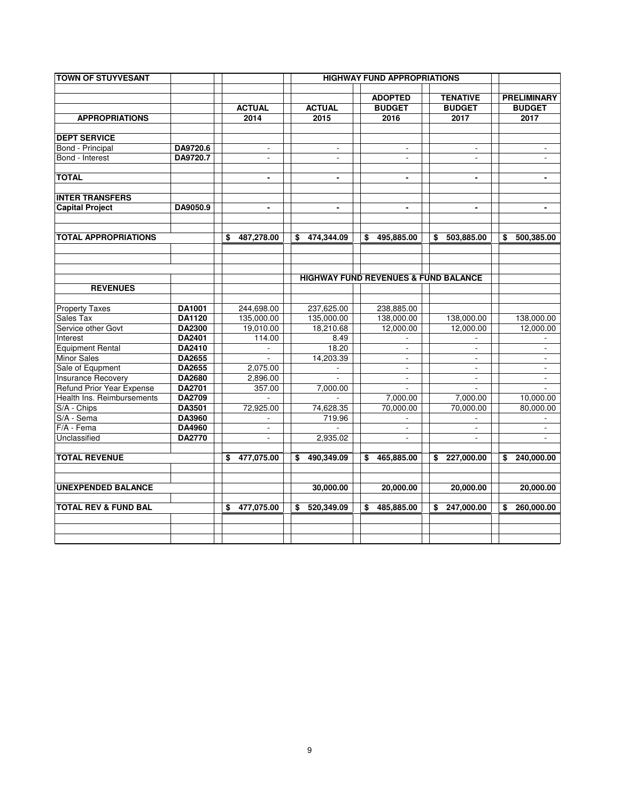| <b>TOWN OF STUYVESANT</b>        |               |                  |                          | <b>HIGHWAY FUND APPROPRIATIONS</b>              |                          |                           |
|----------------------------------|---------------|------------------|--------------------------|-------------------------------------------------|--------------------------|---------------------------|
|                                  |               |                  |                          | <b>ADOPTED</b>                                  | <b>TENATIVE</b>          | <b>PRELIMINARY</b>        |
|                                  |               | <b>ACTUAL</b>    | <b>ACTUAL</b>            | <b>BUDGET</b>                                   | <b>BUDGET</b>            | <b>BUDGET</b>             |
| <b>APPROPRIATIONS</b>            |               | 2014             | 2015                     | 2016                                            | 2017                     | 2017                      |
| <b>DEPT SERVICE</b>              |               |                  |                          |                                                 |                          |                           |
| Bond - Principal                 | DA9720.6      |                  |                          |                                                 |                          |                           |
| Bond - Interest                  | DA9720.7      | $\sim$           | $\mathbf{r}$             | $\mathbf{r}$                                    | $\sim$                   | $\blacksquare$            |
| <b>TOTAL</b>                     |               | $\blacksquare$   | $\blacksquare$           | $\blacksquare$                                  | $\blacksquare$           | $\blacksquare$            |
| <b>INTER TRANSFERS</b>           |               |                  |                          |                                                 |                          |                           |
| <b>Capital Project</b>           | DA9050.9      | $\blacksquare$   | $\blacksquare$           | $\blacksquare$                                  | $\blacksquare$           | $\blacksquare$            |
|                                  |               |                  |                          |                                                 |                          |                           |
| TOTAL APPROPRIATIONS             |               | 487,278.00<br>\$ | 474.344.09<br>S.         | 495,885.00<br>\$                                | 503,885.00<br>\$         | 500,385.00<br>S.          |
|                                  |               |                  |                          |                                                 |                          |                           |
|                                  |               |                  |                          |                                                 |                          |                           |
|                                  |               |                  |                          | <b>HIGHWAY FUND REVENUES &amp; FUND BALANCE</b> |                          |                           |
| <b>REVENUES</b>                  |               |                  |                          |                                                 |                          |                           |
| <b>Property Taxes</b>            | DA1001        | 244,698.00       | 237,625.00               | 238,885.00                                      |                          |                           |
| Sales Tax                        | <b>DA1120</b> | 135,000.00       | 135,000.00               | 138,000.00                                      | 138,000.00               | 138,000.00                |
| Service other Govt               | DA2300        | 19,010.00        | 18,210.68                | 12,000.00                                       | 12,000.00                | 12,000.00                 |
| Interest                         | DA2401        | 114.00           | 8.49                     |                                                 |                          |                           |
| <b>Equipment Rental</b>          | <b>DA2410</b> |                  | 18.20                    | $\overline{\phantom{a}}$                        | $\overline{\phantom{a}}$ | $\overline{\phantom{a}}$  |
| <b>Minor Sales</b>               | <b>DA2655</b> |                  | 14,203.39                | $\sim$                                          | $\sim$                   | $\sim$                    |
| Sale of Equpment                 | DA2655        | 2,075.00         | $\overline{\phantom{a}}$ | $\sim$                                          | $\sim$                   | $\sim$                    |
| <b>Insurance Recovery</b>        | DA2680        | 2,896.00         |                          | $\sim$                                          | $\sim$                   | $\blacksquare$            |
| <b>Refund Prior Year Expense</b> | <b>DA2701</b> | 357.00           | 7,000.00                 |                                                 | ÷                        |                           |
| Health Ins. Reimbursements       | DA2709        |                  |                          | 7,000.00                                        | 7,000.00                 | 10,000.00                 |
| S/A - Chips                      | DA3501        | 72.925.00        | 74.628.35                | 70.000.00                                       | 70.000.00                | 80.000.00                 |
| S/A - Sema                       | DA3960        |                  | 719.96                   |                                                 |                          |                           |
| F/A - Fema                       | <b>DA4960</b> |                  |                          |                                                 |                          |                           |
| Unclassified                     | DA2770        | $\blacksquare$   | 2,935.02                 | $\mathcal{L}$                                   | $\blacksquare$           | $\mathbb{Z}^{\mathbb{Z}}$ |
| <b>TOTAL REVENUE</b>             |               | 477.075.00<br>\$ | 490,349.09<br>\$         | 465,885.00<br>\$                                | 227,000.00<br>\$         | 240,000.00<br>\$          |
| <b>UNEXPENDED BALANCE</b>        |               |                  | 30,000.00                | 20,000.00                                       | 20,000.00                | 20,000.00                 |
| <b>TOTAL REV &amp; FUND BAL</b>  |               | 477,075.00<br>\$ | 520,349.09<br>\$         | 485,885.00<br>\$                                | 247,000.00<br>\$         | \$<br>260,000.00          |
|                                  |               |                  |                          |                                                 |                          |                           |
|                                  |               |                  |                          |                                                 |                          |                           |
|                                  |               |                  |                          |                                                 |                          |                           |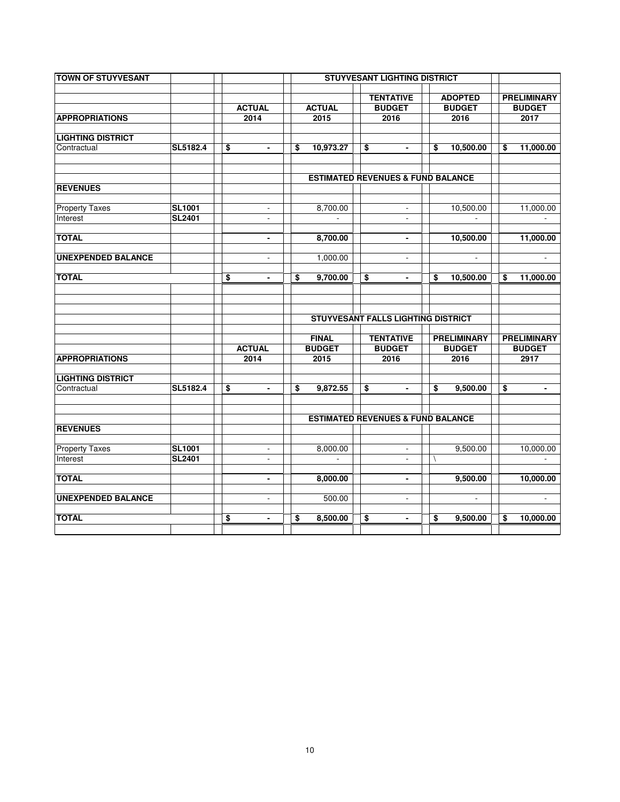| <b>TOWN OF STUYVESANT</b> |               |                             |                 | <b>STUYVESANT LIGHTING DISTRICT</b>          |                                 |                    |    |                                     |
|---------------------------|---------------|-----------------------------|-----------------|----------------------------------------------|---------------------------------|--------------------|----|-------------------------------------|
|                           |               |                             |                 |                                              |                                 |                    |    |                                     |
|                           |               | <b>ACTUAL</b>               | <b>ACTUAL</b>   | <b>TENTATIVE</b><br><b>BUDGET</b>            | <b>ADOPTED</b><br><b>BUDGET</b> |                    |    | <b>PRELIMINARY</b><br><b>BUDGET</b> |
| <b>APPROPRIATIONS</b>     |               | 2014                        | 2015            | 2016                                         |                                 | 2016               |    | 2017                                |
|                           |               |                             |                 |                                              |                                 |                    |    |                                     |
| <b>LIGHTING DISTRICT</b>  |               |                             |                 |                                              |                                 |                    |    |                                     |
| Contractual               | SL5182.4      | \$<br>$\blacksquare$        | \$<br>10,973.27 | \$<br>$\blacksquare$                         | \$                              | 10,500.00          | \$ | 11,000.00                           |
|                           |               |                             |                 |                                              |                                 |                    |    |                                     |
|                           |               |                             |                 |                                              |                                 |                    |    |                                     |
| <b>REVENUES</b>           |               |                             |                 | <b>ESTIMATED REVENUES &amp; FUND BALANCE</b> |                                 |                    |    |                                     |
|                           |               |                             |                 |                                              |                                 |                    |    |                                     |
| <b>Property Taxes</b>     | <b>SL1001</b> | $\blacksquare$              | 8,700.00        | $\blacksquare$                               |                                 | 10,500.00          |    | 11,000.00                           |
| Interest                  | <b>SL2401</b> | $\overline{\phantom{a}}$    |                 | $\blacksquare$                               |                                 |                    |    |                                     |
|                           |               |                             |                 |                                              |                                 |                    |    |                                     |
| <b>TOTAL</b>              |               | $\blacksquare$              | 8,700.00        | $\blacksquare$                               |                                 | 10,500.00          |    | 11,000.00                           |
| <b>UNEXPENDED BALANCE</b> |               |                             | 1,000.00        |                                              |                                 |                    |    |                                     |
|                           |               | $\blacksquare$              |                 | $\blacksquare$                               |                                 | $\blacksquare$     |    | ÷                                   |
| <b>TOTAL</b>              |               | \$<br>$\blacksquare$        | \$<br>9,700.00  | \$<br>$\blacksquare$                         | \$                              | 10,500.00          | \$ | 11,000.00                           |
|                           |               |                             |                 |                                              |                                 |                    |    |                                     |
|                           |               |                             |                 |                                              |                                 |                    |    |                                     |
|                           |               |                             |                 |                                              |                                 |                    |    |                                     |
|                           |               |                             |                 | <b>STUYVESANT FALLS LIGHTING DISTRICT</b>    |                                 |                    |    |                                     |
|                           |               |                             | <b>FINAL</b>    | <b>TENTATIVE</b>                             |                                 | <b>PRELIMINARY</b> |    | <b>PRELIMINARY</b>                  |
|                           |               | <b>ACTUAL</b>               | <b>BUDGET</b>   | <b>BUDGET</b>                                |                                 | <b>BUDGET</b>      |    | <b>BUDGET</b>                       |
| <b>APPROPRIATIONS</b>     |               | 2014                        | 2015            | 2016                                         |                                 | 2016               |    | 2917                                |
|                           |               |                             |                 |                                              |                                 |                    |    |                                     |
| <b>LIGHTING DISTRICT</b>  |               |                             |                 |                                              |                                 |                    |    |                                     |
| Contractual               | SL5182.4      | \$<br>$\blacksquare$        | \$<br>9,872.55  | \$<br>$\blacksquare$                         | \$                              | 9,500.00           | \$ | $\blacksquare$                      |
|                           |               |                             |                 |                                              |                                 |                    |    |                                     |
|                           |               |                             |                 | <b>ESTIMATED REVENUES &amp; FUND BALANCE</b> |                                 |                    |    |                                     |
| <b>REVENUES</b>           |               |                             |                 |                                              |                                 |                    |    |                                     |
|                           |               |                             |                 |                                              |                                 |                    |    |                                     |
| <b>Property Taxes</b>     | <b>SL1001</b> | $\blacksquare$              | 8,000.00        | $\blacksquare$                               |                                 | 9,500.00           |    | 10,000.00                           |
| Interest                  | <b>SL2401</b> | $\sim$                      | $\sim$          | $\mathcal{L}$                                | Ι                               |                    |    | $\blacksquare$                      |
|                           |               |                             |                 |                                              |                                 |                    |    |                                     |
| <b>TOTAL</b>              |               | $\blacksquare$              | 8,000.00        | $\blacksquare$                               |                                 | 9,500.00           |    | 10,000.00                           |
| <b>UNEXPENDED BALANCE</b> |               | $\mathcal{L}^{\mathcal{A}}$ | 500.00          | $\mathbb{L}^2$                               |                                 | $\blacksquare$     |    | $\blacksquare$                      |
|                           |               |                             |                 |                                              |                                 |                    |    |                                     |
| <b>TOTAL</b>              |               | \$<br>$\blacksquare$        | \$<br>8,500.00  | \$<br>$\blacksquare$                         | \$                              | 9,500.00           | \$ | 10,000.00                           |
|                           |               |                             |                 |                                              |                                 |                    |    |                                     |